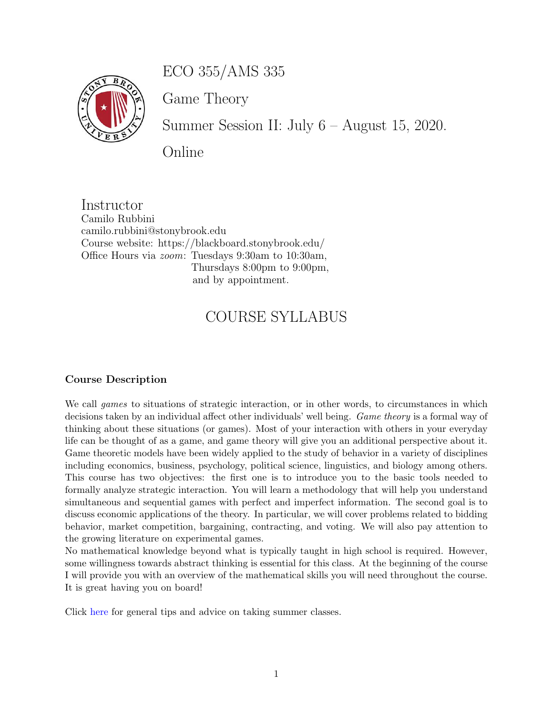ECO 355/AMS 335



Game Theory

Summer Session II: July 6 – August 15, 2020.

Online

Instructor Camilo Rubbini camilo.rubbini@stonybrook.edu Course website: https://blackboard.stonybrook.edu/ Office Hours via zoom: Tuesdays 9:30am to 10:30am, Thursdays 8:00pm to 9:00pm, and by appointment.

# COURSE SYLLABUS

#### Course Description

We call games to situations of strategic interaction, or in other words, to circumstances in which decisions taken by an individual affect other individuals' well being. Game theory is a formal way of thinking about these situations (or games). Most of your interaction with others in your everyday life can be thought of as a game, and game theory will give you an additional perspective about it. Game theoretic models have been widely applied to the study of behavior in a variety of disciplines including economics, business, psychology, political science, linguistics, and biology among others. This course has two objectives: the first one is to introduce you to the basic tools needed to formally analyze strategic interaction. You will learn a methodology that will help you understand simultaneous and sequential games with perfect and imperfect information. The second goal is to discuss economic applications of the theory. In particular, we will cover problems related to bidding behavior, market competition, bargaining, contracting, and voting. We will also pay attention to the growing literature on experimental games.

No mathematical knowledge beyond what is typically taught in high school is required. However, some willingness towards abstract thinking is essential for this class. At the beginning of the course I will provide you with an overview of the mathematical skills you will need throughout the course. It is great having you on board!

Click [here](https://sites.google.com/stonybrook.edu/keeplearning) for general tips and advice on taking summer classes.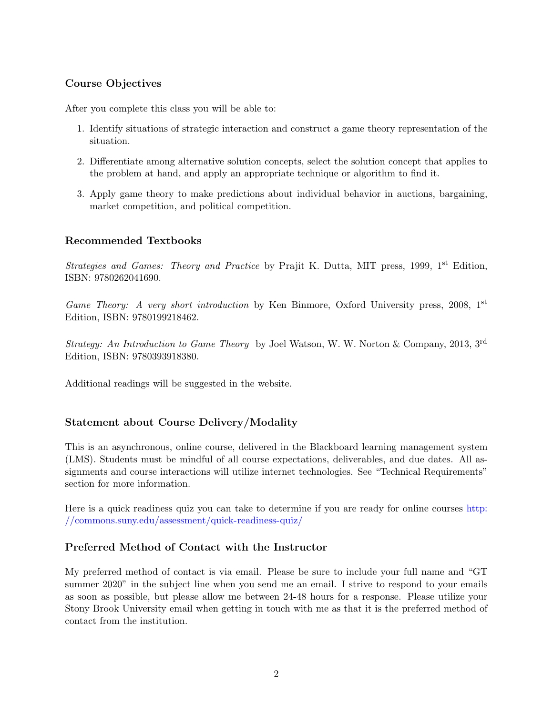### Course Objectives

After you complete this class you will be able to:

- 1. Identify situations of strategic interaction and construct a game theory representation of the situation.
- 2. Differentiate among alternative solution concepts, select the solution concept that applies to the problem at hand, and apply an appropriate technique or algorithm to find it.
- 3. Apply game theory to make predictions about individual behavior in auctions, bargaining, market competition, and political competition.

#### Recommended Textbooks

Strategies and Games: Theory and Practice by Prajit K. Dutta, MIT press, 1999, 1<sup>st</sup> Edition, ISBN: 9780262041690.

Game Theory: A very short introduction by Ken Binmore, Oxford University press, 2008,  $1<sup>st</sup>$ Edition, ISBN: 9780199218462.

Strategy: An Introduction to Game Theory by Joel Watson, W. W. Norton & Company, 2013, 3rd Edition, ISBN: 9780393918380.

Additional readings will be suggested in the website.

#### Statement about Course Delivery/Modality

This is an asynchronous, online course, delivered in the Blackboard learning management system (LMS). Students must be mindful of all course expectations, deliverables, and due dates. All assignments and course interactions will utilize internet technologies. See "Technical Requirements" section for more information.

Here is a quick readiness quiz you can take to determine if you are ready for online courses [http:](http://commons.suny.edu/assessment/quick-readiness-quiz/) [//commons.suny.edu/assessment/quick-readiness-quiz/](http://commons.suny.edu/assessment/quick-readiness-quiz/)

#### Preferred Method of Contact with the Instructor

My preferred method of contact is via email. Please be sure to include your full name and "GT summer 2020" in the subject line when you send me an email. I strive to respond to your emails as soon as possible, but please allow me between 24-48 hours for a response. Please utilize your Stony Brook University email when getting in touch with me as that it is the preferred method of contact from the institution.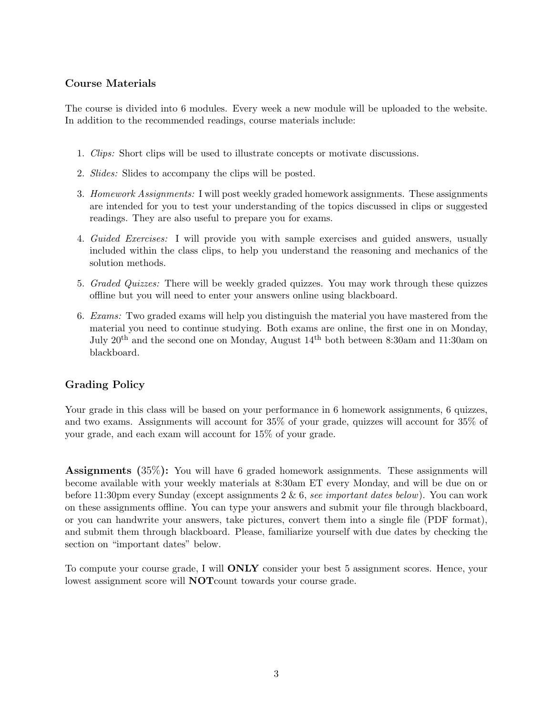#### Course Materials

The course is divided into 6 modules. Every week a new module will be uploaded to the website. In addition to the recommended readings, course materials include:

- 1. Clips: Short clips will be used to illustrate concepts or motivate discussions.
- 2. Slides: Slides to accompany the clips will be posted.
- 3. Homework Assignments: I will post weekly graded homework assignments. These assignments are intended for you to test your understanding of the topics discussed in clips or suggested readings. They are also useful to prepare you for exams.
- 4. Guided Exercises: I will provide you with sample exercises and guided answers, usually included within the class clips, to help you understand the reasoning and mechanics of the solution methods.
- 5. Graded Quizzes: There will be weekly graded quizzes. You may work through these quizzes offline but you will need to enter your answers online using blackboard.
- 6. Exams: Two graded exams will help you distinguish the material you have mastered from the material you need to continue studying. Both exams are online, the first one in on Monday, July  $20^{th}$  and the second one on Monday, August  $14^{th}$  both between 8:30am and 11:30am on blackboard.

## Grading Policy

Your grade in this class will be based on your performance in 6 homework assignments, 6 quizzes, and two exams. Assignments will account for 35% of your grade, quizzes will account for 35% of your grade, and each exam will account for 15% of your grade.

Assignments (35%): You will have 6 graded homework assignments. These assignments will become available with your weekly materials at 8:30am ET every Monday, and will be due on or before 11:30pm every Sunday (except assignments  $2 \& 6$ , see important dates below). You can work on these assignments offline. You can type your answers and submit your file through blackboard, or you can handwrite your answers, take pictures, convert them into a single file (PDF format), and submit them through blackboard. Please, familiarize yourself with due dates by checking the section on "important dates" below.

To compute your course grade, I will ONLY consider your best 5 assignment scores. Hence, your lowest assignment score will **NOT**count towards your course grade.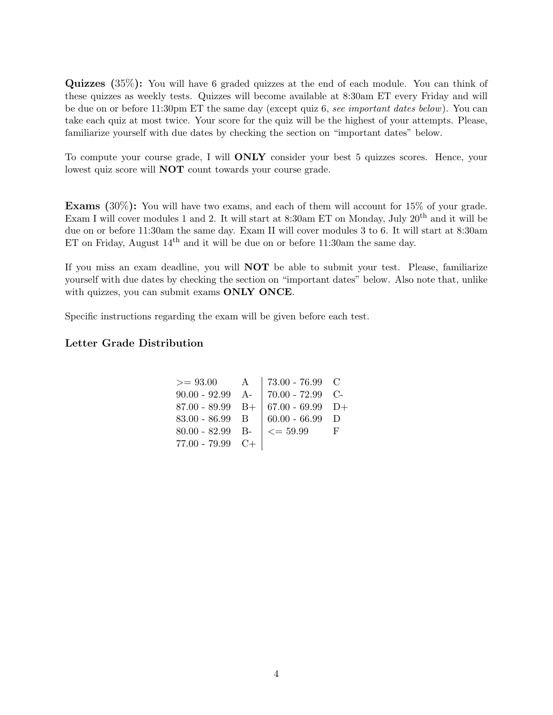Quizzes (35%): You will have 6 graded quizzes at the end of each module. You can think of these quizzes as weekly tests. Quizzes will become available at 8:30am ET every Friday and will be due on or before 11:30pm ET the same day (except quiz 6, see important dates below). You can take each quiz at most twice. Your score for the quiz will be the highest of your attempts. Please, familiarize yourself with due dates by checking the section on "important dates" below.

To compute your course grade, I will ONLY consider your best 5 quizzes scores. Hence, your lowest quiz score will NOT count towards your course grade.

Exams (30%): You will have two exams, and each of them will account for 15% of your grade. Exam I will cover modules 1 and 2. It will start at 8:30am ET on Monday, July 20<sup>th</sup> and it will be due on or before 11:30am the same day. Exam II will cover modules 3 to 6. It will start at 8:30am ET on Friday, August  $14<sup>th</sup>$  and it will be due on or before 11:30am the same day.

If you miss an exam deadline, you will NOT be able to submit your test. Please, familiarize yourself with due dates by checking the section on "important dates" below. Also note that, unlike with quizzes, you can submit exams ONLY ONCE.

Specific instructions regarding the exam will be given before each test.

#### Letter Grade Distribution

|                    | $>= 93.00$ A   73.00 - 76.99 C                   |  |
|--------------------|--------------------------------------------------|--|
|                    | 90.00 - 92.99 A-   70.00 - 72.99 C-              |  |
|                    | $87.00 - 89.99$ B+ $67.00 - 69.99$ D+            |  |
| $83.00 - 86.99$ B  | $  60.00 - 66.99   D$                            |  |
|                    | 80.00 - 82.99 B- $\vert \langle = 59.99 \vert$ F |  |
| $77.00 - 79.99$ C+ |                                                  |  |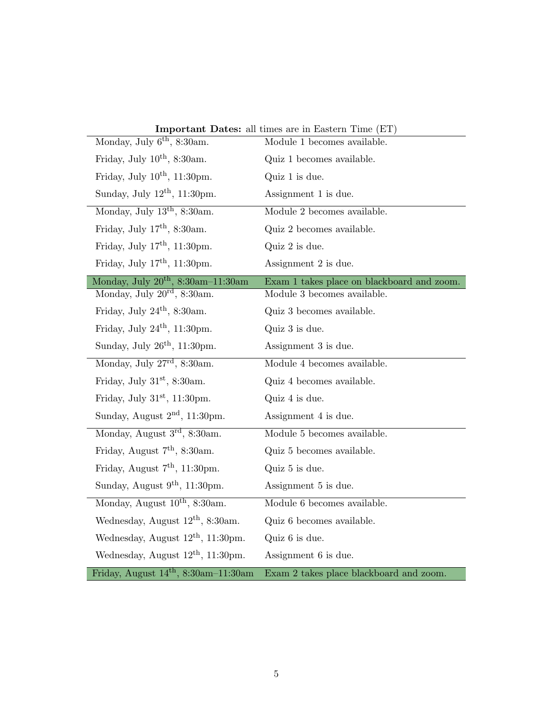| Monday, July 6 <sup>th</sup> , 8:30am.   | <b>Important Dates:</b> all times are in Eastern Time (ET)<br>Module 1 becomes available. |
|------------------------------------------|-------------------------------------------------------------------------------------------|
| Friday, July $10^{th}$ , 8:30am.         | Quiz 1 becomes available.                                                                 |
| Friday, July $10^{th}$ , 11:30pm.        | Quiz 1 is due.                                                                            |
| Sunday, July $12th$ , 11:30pm.           | Assignment 1 is due.                                                                      |
| Monday, July $13th$ , 8:30am.            | Module 2 becomes available.                                                               |
| Friday, July $17th$ , 8:30am.            | Quiz 2 becomes available.                                                                 |
| Friday, July $17th$ , 11:30pm.           | Quiz 2 is due.                                                                            |
| Friday, July $17th$ , 11:30pm.           | Assignment 2 is due.                                                                      |
| Monday, July $20^{th}$ , 8:30am-11:30am  | Exam 1 takes place on blackboard and zoom.                                                |
| Monday, July 20 <sup>rd</sup> , 8:30am.  | Module 3 becomes available.                                                               |
| Friday, July 24 <sup>th</sup> , 8:30am.  | Quiz 3 becomes available.                                                                 |
| Friday, July $24th$ , 11:30pm.           | Quiz 3 is due.                                                                            |
| Sunday, July $26^{th}$ , 11:30pm.        | Assignment 3 is due.                                                                      |
| Monday, July $27^{\rm rd}$ , 8:30am.     | Module 4 becomes available.                                                               |
| Friday, July $31st$ , 8:30am.            | Quiz 4 becomes available.                                                                 |
| Friday, July $31st$ , 11:30pm.           | Quiz 4 is due.                                                                            |
| Sunday, August $2nd$ , 11:30pm.          | Assignment 4 is due.                                                                      |
| Monday, August 3 <sup>rd</sup> , 8:30am. | Module 5 becomes available.                                                               |
| Friday, August $7th$ , 8:30am.           | Quiz 5 becomes available.                                                                 |
| Friday, August $7th$ , 11:30pm.          | Quiz 5 is due.                                                                            |
| Sunday, August $9th$ , 11:30pm.          | Assignment 5 is due.                                                                      |
| Monday, August $10^{th}$ , 8:30am.       | Module 6 becomes available.                                                               |
| Wednesday, August $12th$ , 8:30am.       | Quiz 6 becomes available.                                                                 |
| Wednesday, August $12^{th}$ , 11:30pm.   | Quiz 6 is due.                                                                            |
| Wednesday, August $12th$ , 11:30pm.      | Assignment 6 is due.                                                                      |
| Friday, August $14th$ , 8:30am-11:30am   |                                                                                           |

Important Dates: all times are in Eastern Time (ET)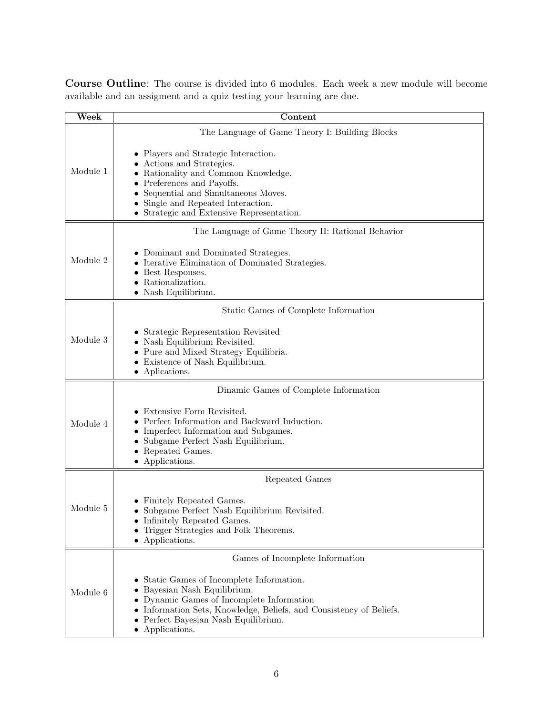Course Outline: The course is divided into 6 modules. Each week a new module will become available and an assigment and a quiz testing your learning are due.

| Week                            | Content                                                                                                                                                                                                                                                 |  |  |
|---------------------------------|---------------------------------------------------------------------------------------------------------------------------------------------------------------------------------------------------------------------------------------------------------|--|--|
|                                 | The Language of Game Theory I: Building Blocks                                                                                                                                                                                                          |  |  |
| Module 1                        | • Players and Strategic Interaction.<br>Actions and Strategies.<br>Rationality and Common Knowledge.<br>Preferences and Payoffs.<br>Sequential and Simultaneous Moves.<br>Single and Repeated Interaction.<br>• Strategic and Extensive Representation. |  |  |
|                                 | The Language of Game Theory II: Rational Behavior                                                                                                                                                                                                       |  |  |
| Module 2                        | • Dominant and Dominated Strategies.<br>• Iterative Elimination of Dominated Strategies.<br>Best Responses.<br>Rationalization.<br>• Nash Equilibrium.                                                                                                  |  |  |
|                                 | Static Games of Complete Information                                                                                                                                                                                                                    |  |  |
| Module 3                        | Strategic Representation Revisited<br>Nash Equilibrium Revisited.<br>• Pure and Mixed Strategy Equilibria.<br>Existence of Nash Equilibrium.<br>$\bullet$ Aplications.                                                                                  |  |  |
|                                 | Dinamic Games of Complete Information                                                                                                                                                                                                                   |  |  |
| Module 4                        | Extensive Form Revisited.<br>Perfect Information and Backward Induction.<br>Imperfect Information and Subgames.<br>Subgame Perfect Nash Equilibrium.<br>Repeated Games.<br>Applications.                                                                |  |  |
| Repeated Games                  |                                                                                                                                                                                                                                                         |  |  |
| Module 5                        | Finitely Repeated Games.<br>• Subgame Perfect Nash Equilibrium Revisited.<br>Infinitely Repeated Games.<br>Trigger Strategies and Folk Theorems.<br>Applications.                                                                                       |  |  |
| Games of Incomplete Information |                                                                                                                                                                                                                                                         |  |  |
| Module 6                        | Static Games of Incomplete Information.<br>Bayesian Nash Equilibrium.<br>Dynamic Games of Incomplete Information<br>Information Sets, Knowledge, Beliefs, and Consistency of Beliefs.<br>• Perfect Bayesian Nash Equilibrium.<br>• Applications.        |  |  |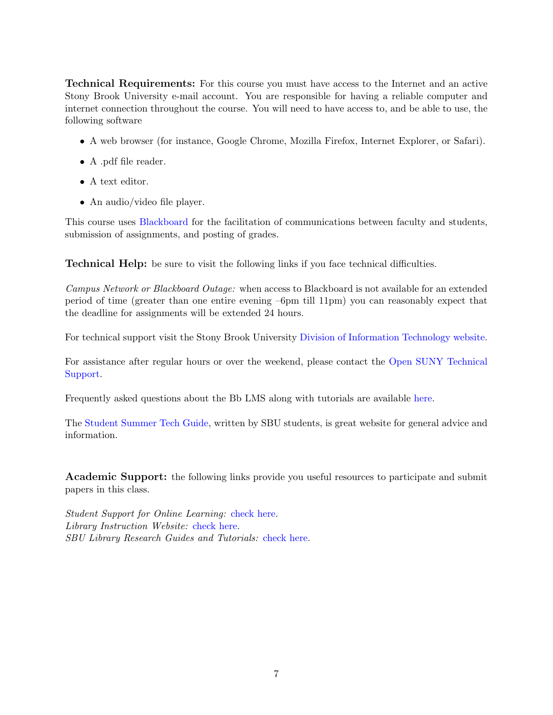Technical Requirements: For this course you must have access to the Internet and an active Stony Brook University e-mail account. You are responsible for having a reliable computer and internet connection throughout the course. You will need to have access to, and be able to use, the following software

- A web browser (for instance, Google Chrome, Mozilla Firefox, Internet Explorer, or Safari).
- A .pdf file reader.
- A text editor.
- An audio/video file player.

This course uses [Blackboard](https://blackboard.stonybrook.edu) for the facilitation of communications between faculty and students, submission of assignments, and posting of grades.

Technical Help: be sure to visit the following links if you face technical difficulties.

Campus Network or Blackboard Outage: when access to Blackboard is not available for an extended period of time (greater than one entire evening –6pm till 11pm) you can reasonably expect that the deadline for assignments will be extended 24 hours.

For technical support visit the Stony Brook University [Division of Information Technology website.](https://it.stonybrook.edu/services/client-support-service-center)

For assistance after regular hours or over the weekend, please contact the [Open SUNY Technical](https://online.suny.edu/help/) [Support.](https://online.suny.edu/help/)

Frequently asked questions about the Bb LMS along with tutorials are available [here.](https://it.stonybrook.edu/services/blackboard/students)

The [Student Summer Tech Guide,](https://sites.google.com/stonybrook.edu/keeplearning) written by SBU students, is great website for general advice and information.

Academic Support: the following links provide you useful resources to participate and submit papers in this class.

Student Support for Online Learning: [check here.](http://www.stonybrook.edu/commcms/onlineed/student.html) Library Instruction Website: [check here.](http://library.stonybrook.edu/workshops-this-week-citation-skills-worldcat-and-endnote-the-hsc/) SBU Library Research Guides and Tutorials: [check here.](http://library.stonybrook.edu/research/research-basics/)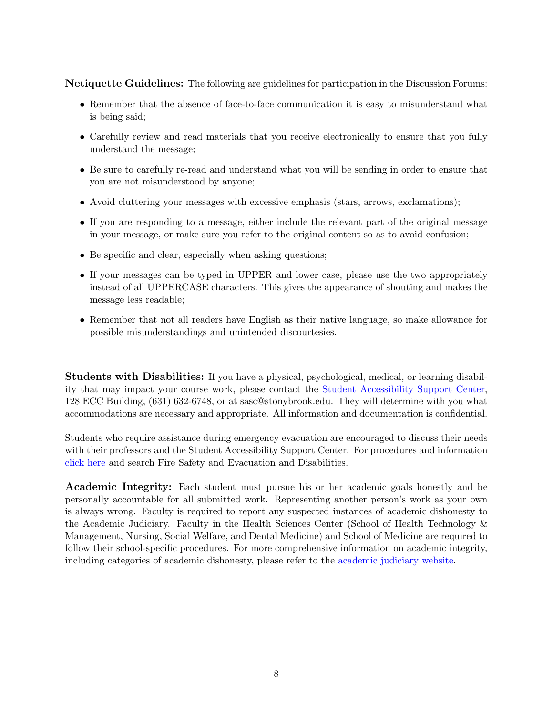Netiquette Guidelines: The following are guidelines for participation in the Discussion Forums:

- Remember that the absence of face-to-face communication it is easy to misunderstand what is being said;
- Carefully review and read materials that you receive electronically to ensure that you fully understand the message;
- Be sure to carefully re-read and understand what you will be sending in order to ensure that you are not misunderstood by anyone;
- Avoid cluttering your messages with excessive emphasis (stars, arrows, exclamations);
- If you are responding to a message, either include the relevant part of the original message in your message, or make sure you refer to the original content so as to avoid confusion;
- Be specific and clear, especially when asking questions;
- If your messages can be typed in UPPER and lower case, please use the two appropriately instead of all UPPERCASE characters. This gives the appearance of shouting and makes the message less readable;
- Remember that not all readers have English as their native language, so make allowance for possible misunderstandings and unintended discourtesies.

Students with Disabilities: If you have a physical, psychological, medical, or learning disability that may impact your course work, please contact the [Student Accessibility Support Center,](http://www.stonybrook.edu/commcms/studentaffairs/dss/ ) 128 ECC Building, (631) 632-6748, or at sasc@stonybrook.edu. They will determine with you what accommodations are necessary and appropriate. All information and documentation is confidential.

Students who require assistance during emergency evacuation are encouraged to discuss their needs with their professors and the Student Accessibility Support Center. For procedures and information [click here](https://ehs.stonybrook.edu/programs/fire-safety/emergency-evacuation/evacuation-guide-people-physical-disabilities) and search Fire Safety and Evacuation and Disabilities.

Academic Integrity: Each student must pursue his or her academic goals honestly and be personally accountable for all submitted work. Representing another person's work as your own is always wrong. Faculty is required to report any suspected instances of academic dishonesty to the Academic Judiciary. Faculty in the Health Sciences Center (School of Health Technology & Management, Nursing, Social Welfare, and Dental Medicine) and School of Medicine are required to follow their school-specific procedures. For more comprehensive information on academic integrity, including categories of academic dishonesty, please refer to the [academic judiciary website.](http://www.stonybrook.edu/commcms/academic_integrity/index.html)